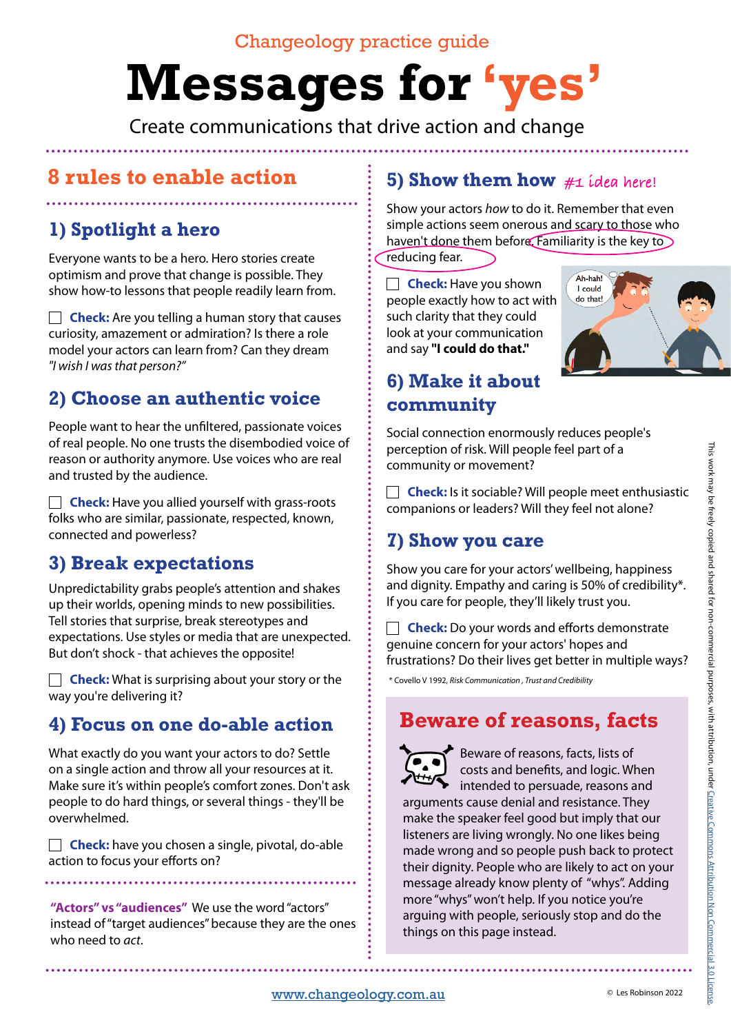## Changeology practice guide

# **Messages for 'yes'**

Create communications that drive action and change

# **8 rules to enable action**

# **1) Spotlight a hero**

Everyone wants to be a hero. Hero stories create optimism and prove that change is possible. They show how-to lessons that people readily learn from.

**Check:** Are you telling a human story that causes curiosity, amazement or admiration? Is there a role model your actors can learn from? Can they dream *"I wish I was that person?"* 

# **2) Choose an authentic voice**

People want to hear the unfiltered, passionate voices of real people. No one trusts the disembodied voice of reason or authority anymore. Use voices who are real and trusted by the audience.

**Check:** Have you allied yourself with grass-roots folks who are similar, passionate, respected, known, connected and powerless?

# **3) Break expectations**

Unpredictability grabs people's attention and shakes up their worlds, opening minds to new possibilities. Tell stories that surprise, break stereotypes and expectations. Use styles or media that are unexpected. But don't shock - that achieves the opposite!

**Check:** What is surprising about your story or the way you're delivering it?

# **4) Focus on one do-able action**

What exactly do you want your actors to do? Settle on a single action and throw all your resources at it. Make sure it's within people's comfort zones. Don't ask people to do hard things, or several things - they'll be overwhelmed.

**Check:** have you chosen a single, pivotal, do-able action to focus your efforts on?

**"Actors" vs "audiences"** We use the word "actors" instead of "target audiences" because they are the ones who need to *act*.

## **5) Show them how #1 idea here!**

Show your actors *how* to do it. Remember that even simple actions seem onerous and scary to those who haven't done them before. Familiarity is the key to reducing fear.

**Check:** Have you shown people exactly how to act with such clarity that they could look at your communication and say **"I could do that."**



# **6) Make it about community**

Social connection enormously reduces people's perception of risk. Will people feel part of a community or movement?

 **Check:** Is it sociable? Will people meet enthusiastic companions or leaders? Will they feel not alone?

# **7) Show you care**

Show you care for your actors' wellbeing, happiness and dignity. Empathy and caring is 50% of credibility\*. If you care for people, they'll likely trust you.

**Check:** Do your words and efforts demonstrate genuine concern for your actors' hopes and frustrations? Do their lives get better in multiple ways?

\* Covello V 1992, *Risk Communication , Trust and Credibility*

# **Beware of reasons, facts**

Beware of reasons, facts, lists of costs and benefits, and logic. When intended to persuade, reasons and arguments cause denial and resistance. They make the speaker feel good but imply that our listeners are living wrongly. No one likes being made wrong and so people push back to protect their dignity. People who are likely to act on your message already know plenty of "whys". Adding more "whys" won't help. If you notice you're arguing with people, seriously stop and do the things on this page instead.